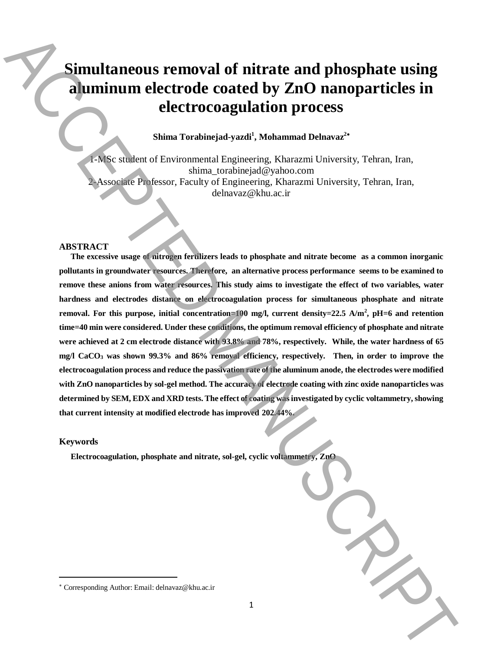# **Simultaneous removal of nitrate and phosphate using aluminum electrode coated by ZnO nanoparticles in electrocoagulation process**

# **Shima Torabinejad-yazdi<sup>1</sup> , Mohammad Delnavaz<sup>2</sup>**

1-MSc student of Environmental Engineering, Kharazmi University, Tehran, Iran, shima\_torabinejad@yahoo.com 2-Associate Professor, Faculty of Engineering, Kharazmi University, Tehran, Iran, delnavaz@khu.ac.ir

#### **ABSTRACT**

**The excessive usage of nitrogen fertilizers leads to phosphate and nitrate become as a common inorganic pollutants in groundwater resources. Therefore, an alternative process performance seems to be examined to remove these anions from water resources. This study aims to investigate the effect of two variables, water hardness and electrodes distance on electrocoagulation process for simultaneous phosphate and nitrate removal. For this purpose, initial concentration=100 mg/l, current density=22.5 A/m<sup>2</sup> , pH=6 and retention time=40 min were considered. Under these conditions, the optimum removal efficiency of phosphate and nitrate were achieved at 2 cm electrode distance with 93.8% and 78%, respectively. While, the water hardness of 65 mg/l CaCO<sup>3</sup> was shown 99.3% and 86% removal efficiency, respectively. Then, in order to improve the electrocoagulation process and reduce the passivation rate of the aluminum anode, the electrodes were modified with ZnO nanoparticles by sol-gel method. The accuracy of electrode coating with zinc oxide nanoparticles was determined by SEM, EDX and XRD tests. The effect of coating was investigated by cyclic voltammetry, showing that current intensity at modified electrode has improved 202.44%. Corresponding Author:**  $\frac{1}{2}$  Alternative Corresponding Author:  $\frac{1}{2}$  Alternative Corresponding Author:  $\frac{1}{2}$  Alternative Corresponding Author:  $\frac{1}{2}$  Alternative Corresponding Author:  $\frac{1}{2}$  Alternative

#### **Keywords**

 $\overline{\phantom{a}}$ 

**Electrocoagulation, phosphate and nitrate, sol-gel, cyclic voltammetry, ZnO**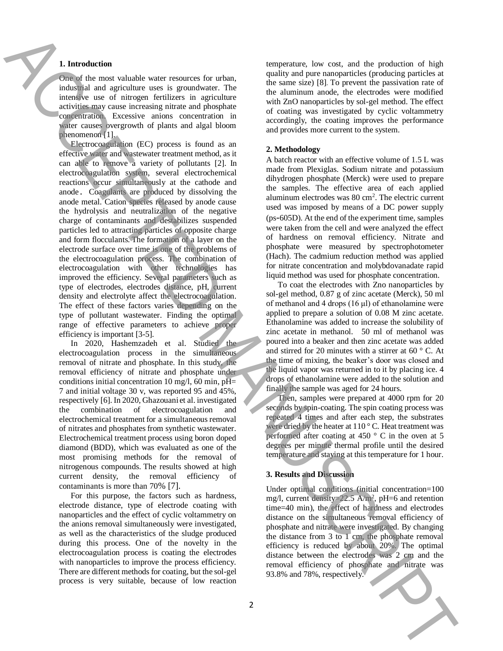# **1. Introduction**

One of the most valuable water resources for urban, industrial and agriculture uses is groundwater. The intensive use of nitrogen fertilizers in agriculture activities may cause increasing nitrate and phosphate concentration. Excessive anions concentration in water causes overgrowth of plants and algal bloom phenomenon [1].

Electrocoagulation (EC) process is found as an effective water and wastewater treatment method, as it can able to remove a variety of pollutants [2]. In electrocoagulation system, several electrochemical reactions occur simultaneously at the cathode and anode. Coagulants are produced by dissolving the anode metal. Cation species released by anode cause the hydrolysis and neutralization of the negative charge of contaminants and destabilizes suspended particles led to attracting particles of opposite charge and form flocculants. The formation of a layer on the electrode surface over time is one of the problems of the electrocoagulation process. The combination of electrocoagulation with other technologies has improved the efficiency. Several parameters such as type of electrodes, electrodes distance, pH, current density and electrolyte affect the electrocoagulation. The effect of these factors varies depending on the type of pollutant wastewater. Finding the optimal range of effective parameters to achieve proper efficiency is important [3-5]. **1.** However, the external spectra is not all the spectra in each spectra in the spectra in the spectra in the spectra in the spectra in the spectra in the spectra in the spectra in the spectra in the spectra in the spect

In 2020, Hashemzadeh et al. Studied the electrocoagulation process in the simultaneous removal of nitrate and phosphate. In this study, the removal efficiency of nitrate and phosphate under conditions initial concentration 10 mg/l, 60 min,  $pH=$ 7 and initial voltage 30 v, was reported 95 and 45%, respectively [6]. In 2020, Ghazouani et al. investigated the combination of electrocoagulation and electrochemical treatment for a simultaneous removal of nitrates and phosphates from synthetic wastewater. Electrochemical treatment process using boron doped diamond (BDD), which was evaluated as one of the most promising methods for the removal of nitrogenous compounds. The results showed at high current density, the removal efficiency of contaminants is more than 70% [7].

For this purpose, the factors such as hardness, electrode distance, type of electrode coating with nanoparticles and the effect of cyclic voltammetry on the anions removal simultaneously were investigated, as well as the characteristics of the sludge produced during this process. One of the novelty in the electrocoagulation process is coating the electrodes with nanoparticles to improve the process efficiency. There are different methods for coating, but the sol-gel process is very suitable, because of low reaction temperature, low cost, and the production of high quality and pure nanoparticles (producing particles at the same size) [8]. To prevent the passivation rate of the aluminum anode, the electrodes were modified with ZnO nanoparticles by sol-gel method. The effect of coating was investigated by cyclic voltammetry accordingly, the coating improves the performance and provides more current to the system.

### **2. Methodology**

A batch reactor with an effective volume of 1.5 L was made from Plexiglas. Sodium nitrate and potassium dihydrogen phosphate (Merck) were used to prepare the samples. The effective area of each applied aluminum electrodes was  $80 \text{ cm}^2$ . The electric current used was imposed by means of a DC power supply (ps-605D). At the end of the experiment time, samples were taken from the cell and were analyzed the effect of hardness on removal efficiency. Nitrate and phosphate were measured by spectrophotometer (Hach). The cadmium reduction method was applied for nitrate concentration and molybdovanadate rapid liquid method was used for phosphate concentration.

To coat the electrodes with Zno nanoparticles by sol-gel method, 0.87 g of zinc acetate (Merck), 50 ml of methanol and 4 drops (16 μl) of ethanolamine were applied to prepare a solution of 0.08 M zinc acetate. Ethanolamine was added to increase the solubility of zinc acetate in methanol. 50 ml of methanol was poured into a beaker and then zinc acetate was added and stirred for 20 minutes with a stirrer at  $60^{\circ}$  C. At the time of mixing, the beaker's door was closed and the liquid vapor was returned in to it by placing ice. 4 drops of ethanolamine were added to the solution and finally the sample was aged for 24 hours.

Then, samples were prepared at 4000 rpm for 20 seconds by spin-coating. The spin coating process was repeated 4 times and after each step, the substrates were dried by the heater at 110 °C. Heat treatment was performed after coating at 450  $\degree$  C in the oven at 5 degrees per minute thermal profile until the desired temperature and staying at this temperature for 1 hour.

## **3. Results and Discussion**

Under optimal conditions (initial concentration=100 mg/l, current density= $22.5 \text{ A/m}^2$ , pH=6 and retention time=40 min), the effect of hardness and electrodes distance on the simultaneous removal efficiency of phosphate and nitrate were investigated. By changing the distance from  $3 \text{ to } 1 \text{ cm}$ , the phosphate removal efficiency is reduced by about 20%. The optimal distance between the electrodes was 2 cm and the removal efficiency of phosphate and nitrate was